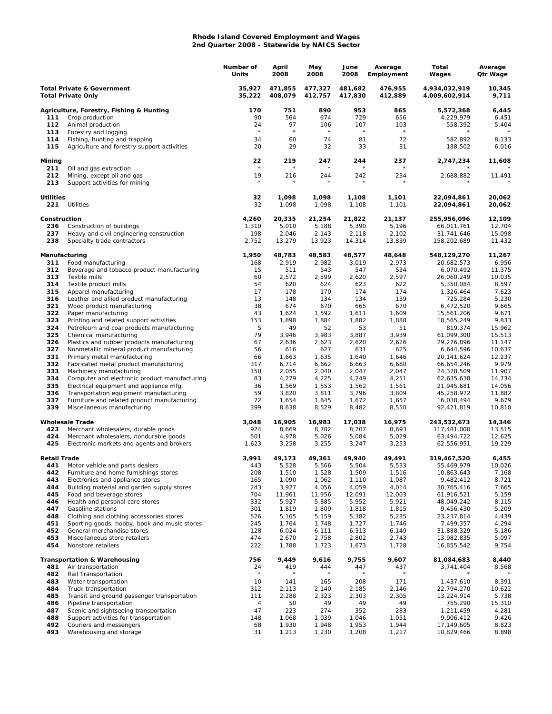## **Rhode Island Covered Employment and Wages 2nd Quarter 2008 - Statewide by NAICS Sector**

|                                                                    |                                                                                       | Number of<br>Units | April<br>2008      | May<br>2008        | June<br>2008       | Average<br>Employment | Total<br>Wages                 | Average<br>Qtr Wage |
|--------------------------------------------------------------------|---------------------------------------------------------------------------------------|--------------------|--------------------|--------------------|--------------------|-----------------------|--------------------------------|---------------------|
| <b>Total Private &amp; Government</b><br><b>Total Private Only</b> |                                                                                       | 35,927<br>35,222   | 471,855<br>408,079 | 477,327<br>412,757 | 481,682<br>417,830 | 476,955<br>412,889    | 4,934,032,919<br>4,009,602,914 | 10,345<br>9,711     |
|                                                                    | Agriculture, Forestry, Fishing & Hunting                                              | 170                | 751                | 890                | 953                | 865                   | 5,572,368                      | 6,445               |
| 111                                                                | Crop production                                                                       | 90                 | 564                | 674                | 729                | 656                   | 4,229,979                      | 6,451               |
| 112                                                                | Animal production                                                                     | 24<br>$\star$      | 97<br>$\star$      | 106<br>$\star$     | 107                | 103<br>$\star$        | 558,392                        | 5,404               |
| 113<br>114                                                         | Forestry and logging                                                                  | 34                 | 60                 | 74                 | $\star$<br>81      | 72                    | 582,892                        | 8,133               |
| 115                                                                | Fishing, hunting and trapping<br>Agriculture and forestry support activities          | 20                 | 29                 | 32                 | 33                 | 31                    | 188,502                        | 6,016               |
| Mining                                                             |                                                                                       | 22<br>$\star$      | 219                | 247                | 244                | 237<br>$\star$        | 2,747,234                      | 11,608              |
| 211<br>212<br>213                                                  | Oil and gas extraction<br>Mining, except oil and gas<br>Support activities for mining | 19<br>$\star$      | 216                | 244                | 242                | 234                   | 2,688,882                      | 11,491              |
| <b>Utilities</b><br>221                                            | Utilities                                                                             | 32<br>32           | 1,098<br>1,098     | 1,098<br>1,098     | 1,108<br>1,108     | 1,101<br>1,101        | 22,094,861<br>22,094,861       | 20,062<br>20,062    |
| Construction                                                       |                                                                                       | 4,260              | 20,335             | 21,254             | 21,822             | 21,137                | 255,956,096                    | 12,109              |
| 236                                                                | Construction of buildings                                                             | 1,310              | 5,010              | 5,188              | 5,390              | 5,196                 | 66,011,761                     | 12,704              |
| 237                                                                | Heavy and civil engineering construction                                              | 198                | 2,046              | 2,143              | 2,118              | 2,102                 | 31,741,646                     | 15,098              |
| 238                                                                | Specialty trade contractors                                                           | 2,752              | 13,279             | 13,923             | 14,314             | 13,839                | 158,202,689                    | 11,432              |
| Manufacturing                                                      |                                                                                       | 1,950              | 48,783             | 48,583             | 48,577             | 48,648                | 548,129,270                    | 11,267              |
| 311<br>312                                                         | Food manufacturing<br>Beverage and tobacco product manufacturing                      | 168<br>15          | 2,919<br>511       | 2,982<br>543       | 3,019<br>547       | 2,973<br>534          | 20,682,573<br>6,070,492        | 6,956<br>11,375     |
| 313                                                                | Textile mills                                                                         | 60                 | 2,572              | 2,599              | 2,620              | 2,597                 | 26,060,249                     | 10,035              |
| 314                                                                | Textile product mills                                                                 | 54                 | 620                | 624                | 623                | 622                   | 5,350,084                      | 8,597               |
| 315                                                                | Apparel manufacturing                                                                 | 17                 | 178                | 170                | 174                | 174                   | 1,326,464                      | 7,623               |
| 316                                                                | Leather and allied product manufacturing                                              | 13                 | 148                | 134                | 134                | 139                   | 725,284                        | 5,230               |
| 321<br>322                                                         | Wood product manufacturing                                                            | 38<br>43           | 674                | 670<br>1,592       | 665                | 670<br>1,609          | 6,472,520                      | 9,665<br>9,671      |
| 323                                                                | Paper manufacturing<br>Printing and related support activities                        | 153                | 1,624<br>1,898     | 1,884              | 1,611<br>1,882     | 1,888                 | 15,561,206<br>18,565,249       | 9,833               |
| 324                                                                | Petroleum and coal products manufacturing                                             | 5                  | 49                 | 52                 | 53                 | 51                    | 819,374                        | 15,962              |
| 325                                                                | Chemical manufacturing                                                                | 79                 | 3,946              | 3,983              | 3,887              | 3,939                 | 61,099,300                     | 15,513              |
| 326                                                                | Plastics and rubber products manufacturing                                            | 67                 | 2,636              | 2,623              | 2,620              | 2,626                 | 29,276,896                     | 11,147              |
| 327                                                                | Nonmetallic mineral product manufacturing                                             | 56                 | 616                | 627                | 631                | 625                   | 6,644,596                      | 10,637              |
| 331<br>332                                                         | Primary metal manufacturing<br>Fabricated metal product manufacturing                 | 66<br>317          | 1,663<br>6,714     | 1,635<br>6,662     | 1,640<br>6,663     | 1,646<br>6,680        | 20, 141, 624<br>66,654,246     | 12,237<br>9,979     |
| 333                                                                | Machinery manufacturing                                                               | 150                | 2,055              | 2,040              | 2,047              | 2,047                 | 24,378,509                     | 11,907              |
| 334                                                                | Computer and electronic product manufacturing                                         | 83                 | 4,279              | 4,225              | 4,249              | 4,251                 | 62,635,638                     | 14,734              |
| 335                                                                | Electrical equipment and appliance mfg.                                               | 36                 | 1,569              | 1,553              | 1,562              | 1,561                 | 21,945,681                     | 14,056              |
| 336                                                                | Transportation equipment manufacturing                                                | 59                 | 3,820              | 3,811              | 3,796              | 3,809                 | 45,258,972                     | 11,882              |
| 337<br>339                                                         | Furniture and related product manufacturing<br>Miscellaneous manufacturing            | 72<br>399          | 1,654<br>8,638     | 1,645<br>8,529     | 1,672<br>8,482     | 1,657<br>8,550        | 16,038,494<br>92,421,819       | 9,679<br>10,810     |
|                                                                    | <b>Wholesale Trade</b>                                                                | 3,048              | 16,905             | 16,983             | 17,038             | 16,975                | 243,532,673                    | 14,346              |
| 423                                                                | Merchant wholesalers, durable goods                                                   | 924                | 8,669              | 8,702              | 8,707              | 8,693                 | 117,481,000                    | 13,515              |
| 424                                                                | Merchant wholesalers, nondurable goods                                                | 501                | 4,978              | 5,026              | 5,084              | 5,029                 | 63,494,722                     | 12,625              |
| 425                                                                | Electronic markets and agents and brokers                                             | 1,623              | 3,258              | 3,255              | 3,247              | 3,253                 | 62,556,951                     | 19,229              |
| Retail Trade<br>441                                                | Motor vehicle and parts dealers                                                       | 3,991<br>443       | 49.173<br>5,528    | 49,361<br>5,566    | 49,940<br>5,504    | 49,491<br>5,533       | 319,467,520<br>55,469,979      | 6,455<br>10,026     |
| 442                                                                | Furniture and home furnishings stores                                                 | 208                | 1,510              | 1,528              | 1,509              | 1,516                 | 10,863,643                     | 7,168               |
| 443                                                                | Electronics and appliance stores                                                      | 165                | 1,090              | 1,062              | 1,110              | 1,087                 | 9,482,412                      | 8,721               |
| 444                                                                | Building material and garden supply stores                                            | 243                | 3,927              | 4,056              | 4,059              | 4,014                 | 30,765,416                     | 7,665               |
| 445                                                                | Food and beverage stores                                                              | 704                | 11,961             | 11,956             | 12,091             | 12,003                | 61,916,521                     | 5,159               |
| 446                                                                | Health and personal care stores                                                       | 332                | 5,927              | 5,885              | 5,952              | 5,921                 | 48,049,242                     | 8,115               |
| 447<br>448                                                         | Gasoline stations<br>Clothing and clothing accessories stores                         | 301<br>526         | 1,819<br>5,165     | 1,809<br>5,159     | 1,818<br>5,382     | 1,815<br>5,235        | 9,456,430<br>23,237,814        | 5,209<br>4,439      |
| 451                                                                | Sporting goods, hobby, book and music stores                                          | 245                | 1,764              | 1,748              | 1,727              | 1,746                 | 7,499,357                      | 4,294               |
| 452                                                                | General merchandise stores                                                            | 128                | 6,024              | 6,111              | 6,313              | 6,149                 | 31,888,329                     | 5,186               |
| 453                                                                | Miscellaneous store retailers                                                         | 474                | 2,670              | 2,758              | 2,802              | 2,743                 | 13,982,835                     | 5,097               |
| 454                                                                | Nonstore retailers                                                                    | 222                | 1,788              | 1,723              | 1,673              | 1,728                 | 16,855,542                     | 9,754               |
| 481                                                                | <b>Transportation &amp; Warehousing</b><br>Air transportation                         | 756<br>24          | 9,449<br>419       | 9,616<br>444       | 9,755<br>447       | 9,607<br>437          | 81,084,683<br>3,741,404        | 8,440<br>8,568      |
| 482                                                                | Rail Transportation                                                                   |                    |                    |                    |                    |                       |                                |                     |
| 483                                                                | Water transportation                                                                  | 10                 | 141                | 165                | 208                | 171                   | 1,437,610                      | 8,391               |
| 484                                                                | Truck transportation                                                                  | 312                | 2,113              | 2,140              | 2,185              | 2,146                 | 22,794,270                     | 10,622              |
| 485                                                                | Transit and ground passenger transportation                                           | 111                | 2,288              | 2,323              | 2,303              | 2,305                 | 13,224,914                     | 5,738               |
| 486                                                                | Pipeline transportation                                                               | 4                  | 50                 | 49                 | 49                 | 49                    | 755,290                        | 15,310              |
| 487<br>488                                                         | Scenic and sightseeing transportation<br>Support activities for transportation        | 47<br>148          | 223<br>1,068       | 274<br>1,039       | 352<br>1,046       | 283<br>1,051          | 1,211,459<br>9,906,412         | 4,281<br>9,426      |
| 492                                                                | Couriers and messengers                                                               | 68                 | 1,930              | 1,948              | 1,953              | 1,944                 | 17,149,605                     | 8,823               |
| 493                                                                | Warehousing and storage                                                               | 31                 | 1,213              | 1,230              | 1,208              | 1,217                 | 10,829,466                     | 8,898               |